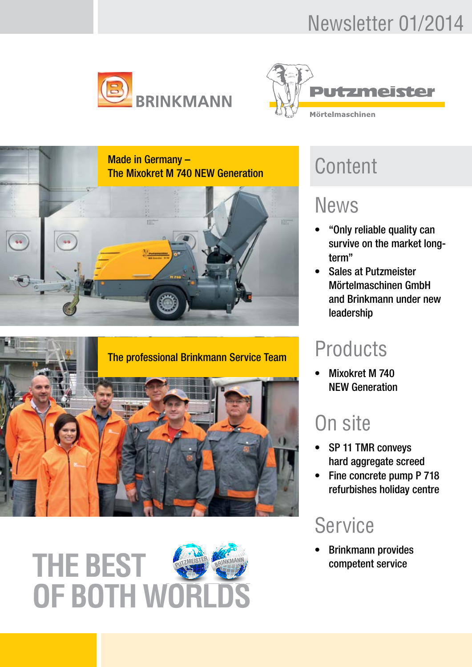# Newsletter 01/2014





Made in Germany – Made in Germany –<br>The Mixokret M 740 NEW Generation<br>CONTENT







## News

- "Only reliable quality can survive on the market longterm"
- Sales at Putzmeister Mörtelmaschinen GmbH and Brinkmann under new leadership

# **Products**

• Mixokret M 740 NEW Generation

# On site

- SP 11 TMR convevs hard aggregate screed
- Fine concrete pump P 718 refurbishes holiday centre

# **Service**

• Brinkmann provides competent service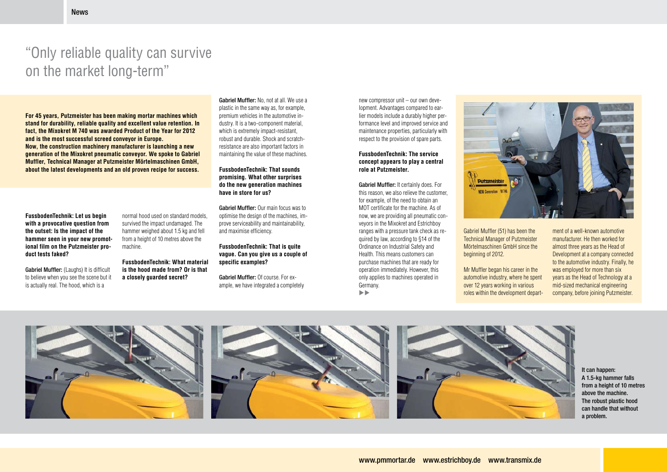# "Only reliable quality can survive on the market long-term"

**FussbodenTechnik: Let us begin with a provocative question from the outset: Is the impact of the hammer seen in your new promotional film on the Putzmeister product tests faked?**

Gabriel Muffler: (Laughs) It is difficult to believe when you see the scene but it is actually real. The hood, which is a

**For 45 years, Putzmeister has been making mortar machines which stand for durability, reliable quality and excellent value retention. In fact, the Mixokret M 740 was awarded Product of the Year for 2012 and is the most successful screed conveyor in Europe. Now, the construction machinery manufacturer is launching a new generation of the Mixokret pneumatic conveyor. We spoke to Gabriel Muffler, Technical Manager at Putzmeister Mörtelmaschinen GmbH, about the latest developments and an old proven recipe for success.**

Gabriel Muffler: No, not at all. We use a plastic in the same way as, for example, premium vehicles in the automotive industry. It is a two-component material, which is extremely impact-resistant, robust and durable. Shock and scratchresistance are also important factors in maintaining the value of these machines.

normal hood used on standard models, survived the impact undamaged. The hammer weighed about 1.5 kg and fell from a height of 10 metres above the machine.

Gabriel Muffler: It certainly does. For this reason, we also relieve the customer, for example, of the need to obtain an MOT certificate for the machine. As of now, we are providing all pneumatic conveyors in the Mixokret and Estrichboy ranges with a pressure tank check as required by law, according to §14 of the Ordinance on Industrial Safety and Health. This means customers can purchase machines that are ready for operation immediately. However, this only applies to machines operated in Germany.  $\blacktriangleright$ 



**FussbodenTechnik: What material is the hood made from? Or is that a closely guarded secret?**

#### **FussbodenTechnik: That sounds promising. What other surprises do the new generation machines have in store for us?**

Gabriel Muffler: Our main focus was to optimise the design of the machines, improve serviceability and maintainability, and maximise efficiency.

#### **FussbodenTechnik: That is quite vague. Can you give us a couple of specific examples?**

Gabriel Muffler: Of course. For example, we have integrated a completely new compressor unit – our own development. Advantages compared to earlier models include a durably higher performance level and improved service and maintenance properties, particularly with respect to the provision of spare parts.

#### **FussbodenTechnik: The service concept appears to play a central role at Putzmeister.**

Gabriel Muffler (51) has been the Technical Manager of Putzmeister Mörtelmaschinen GmbH since the beginning of 2012.

Mr Muffler began his career in the automotive industry, where he spent over 12 years working in various roles within the development depart-



It can happen: A 1.5-kg hammer falls from a height of 10 metres above the machine. The robust plastic hood can handle that without a problem.

ment of a well-known automotive manufacturer. He then worked for almost three years as the Head of Development at a company connected to the automotive industry. Finally, he was employed for more than six years as the Head of Technology at a mid-sized mechanical engineering company, before joining Putzmeister.

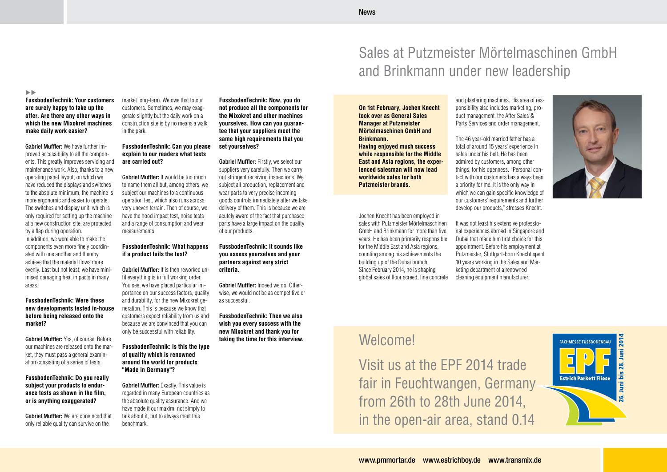



### **FussbodenTechnik: Your customers are surely happy to take up the offer. Are there any other ways in which the new Mixokret machines make daily work easier?**

Gabriel Muffler: We have further improved accessibility to all the components. This greatly improves servicing and maintenance work. Also, thanks to a new operating panel layout, on which we have reduced the displays and switches to the absolute minimum, the machine is more ergonomic and easier to operate. The switches and display unit, which is only required for setting up the machine at a new construction site, are protected by a flap during operation. In addition, we were able to make the components even more finely coordinated with one another and thereby achieve that the material flows more evenly. Last but not least, we have minimised damaging heat impacts in many areas.

Gabriel Muffler: It would be too much to name them all but, among others, we subject our machines to a continuous operation test, which also runs across very uneven terrain. Then of course, we have the hood impact test, noise tests and a range of consumption and wear measurements.

#### **FussbodenTechnik: Were these new developments tested in-house before being released onto the market?**

Gabriel Muffler: Yes, of course. Before our machines are released onto the market, they must pass a general examination consisting of a series of tests.

#### **FussbodenTechnik: Do you really subject your products to endurance tests as shown in the film, or is anything exaggerated?**

Gabriel Muffler: Exactly. This value is regarded in many European countries as the absolute quality assurance. And we have made it our maxim, not simply to talk about it, but to always meet this benchmark.

Gabriel Muffler: We are convinced that only reliable quality can survive on the

market long-term. We owe that to our customers. Sometimes, we may exaggerate slightly but the daily work on a construction site is by no means a walk in the park.

#### **FussbodenTechnik: Can you please explain to our readers what tests are carried out?**

Gabriel Muffler: Firstly, we select our suppliers very carefully. Then we carry out stringent receiving inspections. We subject all production, replacement and wear parts to very precise incoming goods controls immediately after we take delivery of them. This is because we are acutely aware of the fact that purchased parts have a large impact on the quality of our products.

#### **FussbodenTechnik: What happens if a product fails the test?**

Gabriel Muffler: It is then reworked until everything is in full working order. You see, we have placed particular importance on our success factors, quality and durability, for the new Mixokret generation. This is because we know that customers expect reliability from us and because we are convinced that you can only be successful with reliability.

#### **FussbodenTechnik: Is this the type of quality which is renowned around the world for products "Made in Germany"?**

**FussbodenTechnik: Now, you do not produce all the components for the Mixokret and other machines yourselves. How can you guarantee that your suppliers meet the same high requirements that you set yourselves?**

#### **FussbodenTechnik: It sounds like you assess yourselves and your partners against very strict criteria.**

Gabriel Muffler: Indeed we do. Otherwise, we would not be as competitive or as successful.

**FussbodenTechnik: Then we also wish you every success with the new Mixokret and thank you for taking the time for this interview.**

# Sales at Putzmeister Mörtelmaschinen GmbH and Brinkmann under new leadership

#### $\blacktriangleright\blacktriangleright$

#### **On 1st February, Jochen Knecht took over as General Sales Manager at Putzmeister Mörtelmaschinen GmbH and Brinkmann.**

**Having enjoyed much success while responsible for the Middle East and Asia regions, the experienced salesman will now lead worldwide sales for both Putzmeister brands.**

and plastering machines. His area of responsibility also includes marketing, product management, the After Sales & Parts Services and order management.

The 46 year-old married father has a total of around 15 years' experience in sales under his belt. He has been admired by customers, among other things, for his openness. "Personal contact with our customers has always been a priority for me. It is the only way in which we can gain specific knowledge of our customers' requirements and further develop our products," stresses Knecht.

It was not least his extensive professional experiences abroad in Singapore and Dubai that made him first choice for this appointment. Before his employment at Putzmeister, Stuttgart-born Knecht spent 10 years working in the Sales and Marketing department of a renowned cleaning equipment manufacturer.

Jochen Knecht has been employed in sales with Putzmeister Mörtelmaschinen GmbH and Brinkmann for more than five years. He has been primarily responsible for the Middle East and Asia regions, counting among his achievements the building up of the Dubai branch. Since February 2014, he is shaping global sales of floor screed, fine concrete

## Welcome!

Visit us at the EPF 2014 trade fair in Feuchtwangen, Germany from 26th to 28th June 2014, in the open-air area, stand 0.14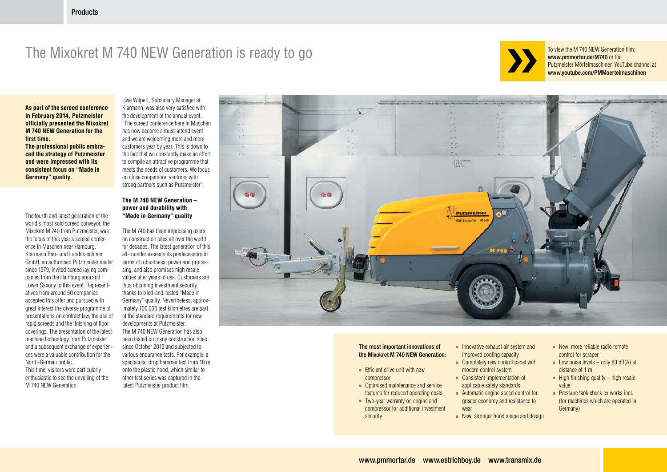## The Mixokret M 740 NEW Generation is ready to go



**As part of the screed conference in February 2014, Putzmeister officially presented the Mixokret M 740 new Generation for the first time. The professional public embra-**

**ced the strategy of Putzmeister and were impressed with its consistent focus on "Made in Germany" quality.**

enthusiastic to see the unveiling of the M 740 NEW Generation.

The fourth and latest generation of the world's most sold screed conveyor, the Mixokret M 740 from Putzmeister, was the focus of this year's screed conference in Maschen near Hamburg. Klarmann Bau- und Landmaschinen GmbH, an authorised Putzmeister dealer since 1979, invited screed laying companies from the Hamburg area and Lower Saxony to this event. Representatives from around 50 companies accepted this offer and pursued with great interest the diverse programme of presentations on contract law, the use of rapid screeds and the finishing of floor coverings. The presentation of the latest machine technology from Putzmeister and a subsequent exchange of experiences were a valuable contribution for the North-German public. This time, visitors were particularly

To view the M 740 NEW Generation film: www.pmmortar.de/M740 or the Putzmeister Mörtelmaschinen YouTube channel at www.youtube.com/PMMoertelmaschinen

- 
- 
- 
- 
- 
- New, stronger hood shape and design

The most important innovations of the Mixokret M 740 NEW Generation:

Uwe Wilpert, Subsidiary Manager at Klarmann, was also very satisfied with the development of the annual event: "The screed conference here in Maschen has now become a must-attend event and we are welcoming more and more customers year by year. This is down to the fact that we constantly make an effort to compile an attractive programme that meets the needs of customers. We focus on close cooperation ventures with strong partners such as Putzmeister".

- Efficient drive unit with new compressor
- Optimised maintenance and service features for reduced operating costs
- Two-year warranty on engine and compressor for additional investment security
- Innovative exhaust air system and improved cooling capacity
- Completely new control panel with modern control system
- Consistent implementation of applicable safety standards ■ Automatic engine speed control for
- greater economy and resistance to wear
- 

#### **The M 740 new Generation – power and durability with "Made in Germany" quality**

- New, more reliable radio remote control for scraper
- Low noise levels only 83 dB(A) at distance of 1 m
- $\blacksquare$  High finishing quality high resale value
- Pressure tank check ex works incl. (for machines which are operated in Germany)

The M 740 has been impressing users on construction sites all over the world for decades. The latest generation of this all-rounder exceeds its predecessors in terms of robustness, power and processing, and also promises high resale values after years of use. Customers are thus obtaining investment security thanks to tried-and-tested "Made in Germany" quality. Nevertheless, approximately 100,000 test kilometres are part of the standard requirements for new developments at Putzmeister. The M 740 NEW Generation has also been tested on many construction sites since October 2013 and subjected to various endurance tests. For example, a spectacular drop hammer test from 10 m onto the plastic hood, which similar to other test series was captured in the latest Putzmeister product film.

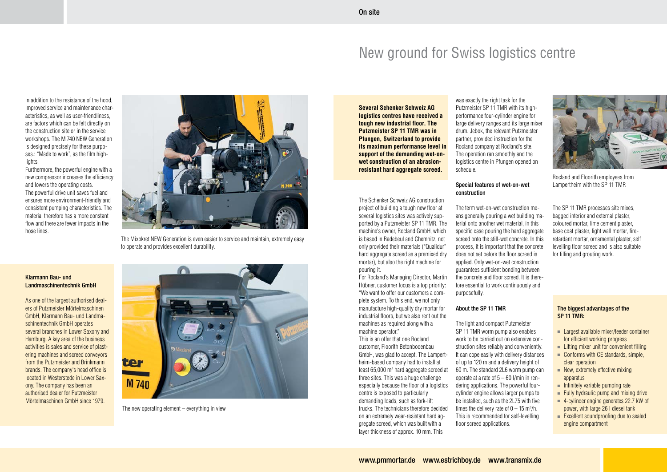

The new operating element – everything in view



The Mixokret NEW Generation is even easier to service and maintain, extremely easy to operate and provides excellent durability.

#### Klarmann Bau- und Landmaschinentechnik GmbH

In addition to the resistance of the hood, improved service and maintenance characteristics, as well as user-friendliness, are factors which can be felt directly on the construction site or in the service workshops. The M 740 NEW Generation is designed precisely for these purposes.: "Made to work", as the film highlights.

As one of the largest authorised dealers of Putzmeister Mörtelmaschinen GmbH, Klarmann Bau- und Landmaschinentechnik GmbH operates several branches in Lower Saxony and Hamburg. A key area of the business activities is sales and service of plastering machines and screed conveyors from the Putzmeister and Brinkmann brands. The company's head office is located in Westerstede in Lower Saxony. The company has been an authorised dealer for Putzmeister Mörtelmaschinen GmbH since 1979.

Furthermore, the powerful engine with a new compressor increases the efficiency and lowers the operating costs. The powerful drive unit saves fuel and ensures more environment-friendly and consistent pumping characteristics. The material therefore has a more constant flow and there are fewer impacts in the hose lines.

**Several Schenker Schweiz AG logistics centres have received a tough new industrial floor. The Putzmeister SP 11 TMR was in Pfungen, Switzerland to provide its maximum performance level in support of the demanding wet-onwet construction of an abrasionresistant hard aggregate screed.**

The Schenker Schweiz AG construction project of building a tough new floor at several logistics sites was actively supported by a Putzmeister SP 11 TMR. The machine's owner, Rocland GmbH, which is based in Radebeul and Chemnitz, not only provided their materials ("Qualidur" hard aggregate screed as a premixed dry mortar), but also the right machine for pouring it.

For Rocland's Managing Director, Martin Hübner, customer focus is a top priority: "We want to offer our customers a complete system. To this end, we not only manufacture high-quality dry mortar for industrial floors, but we also rent out the machines as required along with a machine operator."

This is an offer that one Rocland customer, Floorith Betonbodenbau GmbH, was glad to accept. The Lampertheim-based company had to install at least 65,000 m² hard aggregate screed at three sites. This was a huge challenge especially because the floor of a logistics centre is exposed to particularly demanding loads, such as fork-lift trucks. The technicians therefore decided on an extremely wear-resistant hard aggregate screed, which was built with a layer thickness of approx. 10 mm. This

# New ground for Swiss logistics centre



Rocland and Floorith employees from Lampertheim with the SP 11 TMR

was exactly the right task for the Putzmeister SP 11 TMR with its highperformance four-cylinder engine for large delivery ranges and its large mixer drum. Jebok, the relevant Putzmeister partner, provided instruction for the Rocland company at Rocland's site. The operation ran smoothly and the logistics centre in Pfungen opened on schedule.

#### Special features of wet-on-wet construction

The term wet-on-wet construction means generally pouring a wet building material onto another wet material, in this specific case pouring the hard aggregate screed onto the still-wet concrete. In this process, it is important that the concrete does not set before the floor screed is applied. Only wet-on-wet construction guarantees sufficient bonding between the concrete and floor screed. It is therefore essential to work continuously and purposefully.

### About the SP 11 TMR

The light and compact Putzmeister SP 11 TMR worm pump also enables work to be carried out on extensive construction sites reliably and conveniently. It can cope easily with delivery distances of up to 120 m and a delivery height of 60 m. The standard 2L6 worm pump can operate at a rate of 5 – 60 l/min in rendering applications. The powerful fourcylinder engine allows larger pumps to be installed, such as the 2L75 with five times the delivery rate of  $0 - 15$  m<sup>3</sup>/h. This is recommended for self-levelling floor screed applications.

The SP 11 TMR processes site mixes, bagged interior and external plaster, coloured mortar, lime cement plaster, base coat plaster, light wall mortar, fireretardant mortar, ornamental plaster, self levelling floor screed and is also suitable for filling and grouting work.

#### The biggest advantages of the SP 11 TMR:

- Largest available mixer/feeder container for efficient working progress
- Lifting mixer unit for convenient filling
- Conforms with CE standards, simple, clear operation
- New, extremely effective mixing apparatus
- Infinitely variable pumping rate
- $\blacksquare$  Fully hydraulic pump and mixing drive
- 4-cylinder engine generates 22.7 kW of power, with large 26 l diesel tank
- Excellent soundproofing due to sealed engine compartment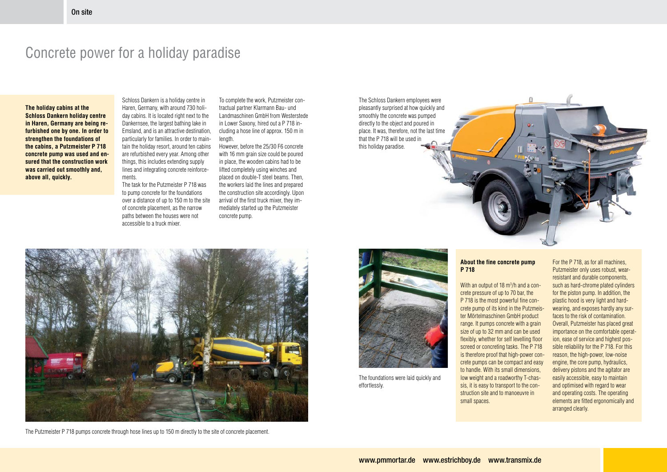

**The holiday cabins at the Schloss Dankern holiday centre in Haren, Germany are being refurbished one by one. In order to strengthen the foundations of the cabins, a Putzmeister P 718 concrete pump was used and ensured that the construction work was carried out smoothly and, above all, quickly.** 

Schloss Dankern is a holiday centre in Haren, Germany, with around 730 holiday cabins. It is located right next to the Dankernsee, the largest bathing lake in Emsland, and is an attractive destination, particularly for families. In order to maintain the holiday resort, around ten cabins are refurbished every year. Among other things, this includes extending supply lines and integrating concrete reinforcements.

The task for the Putzmeister P 718 was to pump concrete for the foundations over a distance of up to 150 m to the site of concrete placement, as the narrow paths between the houses were not accessible to a truck mixer.

### Concrete power for a holiday paradise

The foundations were laid quickly and effortlessly.

To complete the work, Putzmeister contractual partner Klarmann Bau- und Landmaschinen GmbH from Westerstede in Lower Saxony, hired out a P 718 including a hose line of approx. 150 m in length.

> With an output of 18 m<sup>3</sup>/h and a concrete pressure of up to 70 bar, the P 718 is the most powerful fine concrete pump of its kind in the Putzmeister Mörtelmaschinen GmbH product range. It pumps concrete with a grain size of up to 32 mm and can be used flexibly, whether for self levelling floor screed or concreting tasks. The P 718 is therefore proof that high-power concrete pumps can be compact and easy to handle. With its small dimensions, low weight and a roadworthy T-chassis, it is easy to transport to the construction site and to manoeuvre in small spaces.

However, before the 25/30 F6 concrete with 16 mm grain size could be poured in place, the wooden cabins had to be lifted completely using winches and placed on double-T steel beams. Then, the workers laid the lines and prepared the construction site accordingly. Upon arrival of the first truck mixer, they immediately started up the Putzmeister concrete pump.



The Putzmeister P 718 pumps concrete through hose lines up to 150 m directly to the site of concrete placement.

The Schloss Dankern employees were pleasantly surprised at how quickly and smoothly the concrete was pumped directly to the object and poured in place. It was, therefore, not the last time

that the P 718 will be used in

this holiday paradise.

#### **About the fine concrete pump P 718**

For the P 718, as for all machines, Putzmeister only uses robust, wearresistant and durable components, such as hard-chrome plated cylinders for the piston pump. In addition, the plastic hood is very light and hardwearing, and exposes hardly any surfaces to the risk of contamination. Overall, Putzmeister has placed great importance on the comfortable operation, ease of service and highest possible reliability for the P 718. For this reason, the high-power, low-noise engine, the core pump, hydraulics, delivery pistons and the agitator are easily accessible, easy to maintain and optimised with regard to wear and operating costs. The operating elements are fitted ergonomically and arranged clearly.